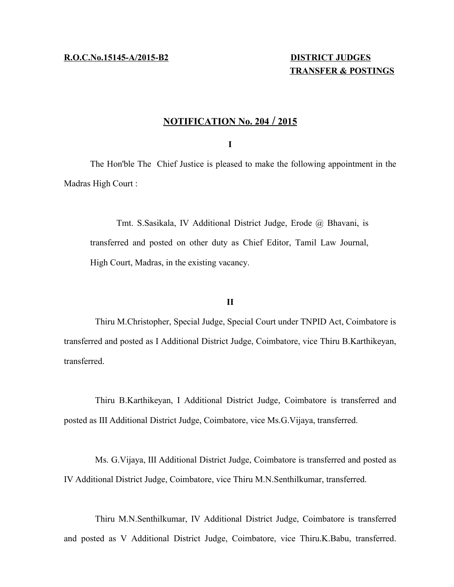# **TRANSFER & POSTINGS**

## **N OTIFICATION No. 204 / 2 015**

## **I**

The Hon'ble The Chief Justice is pleased to make the following appointment in the Madras High Court :

Tmt. S.Sasikala, IV Additional District Judge, Erode @ Bhavani, is transferred and posted on other duty as Chief Editor, Tamil Law Journal, High Court, Madras, in the existing vacancy.

## **II**

Thiru M.Christopher, Special Judge, Special Court under TNPID Act, Coimbatore is transferred and posted as I Additional District Judge, Coimbatore, vice Thiru B.Karthikeyan, transferred.

Thiru B.Karthikeyan, I Additional District Judge, Coimbatore is transferred and posted as III Additional District Judge, Coimbatore, vice Ms.G.Vijaya, transferred.

Ms. G.Vijaya, III Additional District Judge, Coimbatore is transferred and posted as IV Additional District Judge, Coimbatore, vice Thiru M.N.Senthilkumar, transferred.

Thiru M.N.Senthilkumar, IV Additional District Judge, Coimbatore is transferred and posted as V Additional District Judge, Coimbatore, vice Thiru.K.Babu, transferred.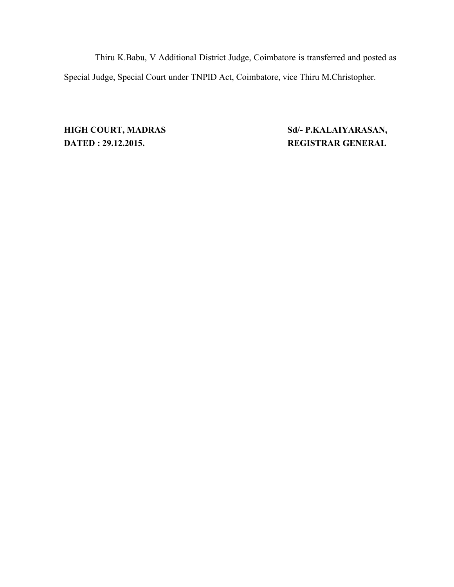Thiru K.Babu, V Additional District Judge, Coimbatore is transferred and posted as Special Judge, Special Court under TNPID Act, Coimbatore, vice Thiru M.Christopher.

**DATED : 29.12.2015. REGISTRAR GENERAL**

**HIGH COURT, MADRAS Sd/- P.KALAIYARASAN,**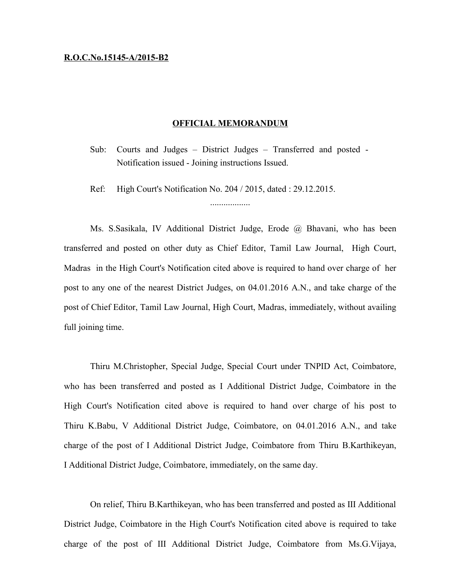#### **R.O.C.No.15145-A/2015-B2**

#### **OFFICIAL MEMORANDUM**

Sub: Courts and Judges – District Judges – Transferred and posted - Notification issued - Joining instructions Issued.

..................

Ref: High Court's Notification No. 204 / 2015, dated : 29.12.2015.

Ms. S.Sasikala, IV Additional District Judge, Erode @ Bhavani, who has been transferred and posted on other duty as Chief Editor, Tamil Law Journal, High Court, Madras in the High Court's Notification cited above is required to hand over charge of her post to any one of the nearest District Judges, on 04.01.2016 A.N., and take charge of the post of Chief Editor, Tamil Law Journal, High Court, Madras, immediately, without availing full joining time.

Thiru M.Christopher, Special Judge, Special Court under TNPID Act, Coimbatore, who has been transferred and posted as I Additional District Judge, Coimbatore in the High Court's Notification cited above is required to hand over charge of his post to Thiru K.Babu, V Additional District Judge, Coimbatore, on 04.01.2016 A.N., and take charge of the post of I Additional District Judge, Coimbatore from Thiru B.Karthikeyan, I Additional District Judge, Coimbatore, immediately, on the same day.

On relief, Thiru B.Karthikeyan, who has been transferred and posted as III Additional District Judge, Coimbatore in the High Court's Notification cited above is required to take charge of the post of III Additional District Judge, Coimbatore from Ms.G.Vijaya,